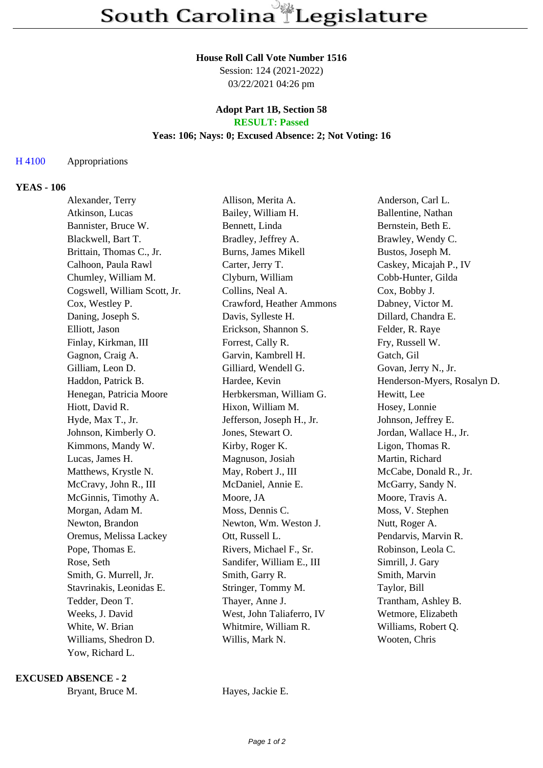#### **House Roll Call Vote Number 1516**

Session: 124 (2021-2022) 03/22/2021 04:26 pm

### **Adopt Part 1B, Section 58 RESULT: Passed**

## **Yeas: 106; Nays: 0; Excused Absence: 2; Not Voting: 16**

#### H 4100 Appropriations

#### **YEAS - 106**

| Alexander, Terry             | Allison, Merita A.        | Anderson, Carl L.           |
|------------------------------|---------------------------|-----------------------------|
| Atkinson, Lucas              | Bailey, William H.        | Ballentine, Nathan          |
| Bannister, Bruce W.          | Bennett, Linda            | Bernstein, Beth E.          |
| Blackwell, Bart T.           | Bradley, Jeffrey A.       | Brawley, Wendy C.           |
| Brittain, Thomas C., Jr.     | Burns, James Mikell       | Bustos, Joseph M.           |
| Calhoon, Paula Rawl          | Carter, Jerry T.          | Caskey, Micajah P., IV      |
| Chumley, William M.          | Clyburn, William          | Cobb-Hunter, Gilda          |
| Cogswell, William Scott, Jr. | Collins, Neal A.          | Cox, Bobby J.               |
| Cox, Westley P.              | Crawford, Heather Ammons  | Dabney, Victor M.           |
| Daning, Joseph S.            | Davis, Sylleste H.        | Dillard, Chandra E.         |
| Elliott, Jason               | Erickson, Shannon S.      | Felder, R. Raye             |
| Finlay, Kirkman, III         | Forrest, Cally R.         | Fry, Russell W.             |
| Gagnon, Craig A.             | Garvin, Kambrell H.       | Gatch, Gil                  |
| Gilliam, Leon D.             | Gilliard, Wendell G.      | Govan, Jerry N., Jr.        |
| Haddon, Patrick B.           | Hardee, Kevin             | Henderson-Myers, Rosalyn D. |
| Henegan, Patricia Moore      | Herbkersman, William G.   | Hewitt, Lee                 |
| Hiott, David R.              | Hixon, William M.         | Hosey, Lonnie               |
| Hyde, Max T., Jr.            | Jefferson, Joseph H., Jr. | Johnson, Jeffrey E.         |
| Johnson, Kimberly O.         | Jones, Stewart O.         | Jordan, Wallace H., Jr.     |
| Kimmons, Mandy W.            | Kirby, Roger K.           | Ligon, Thomas R.            |
| Lucas, James H.              | Magnuson, Josiah          | Martin, Richard             |
| Matthews, Krystle N.         | May, Robert J., III       | McCabe, Donald R., Jr.      |
| McCravy, John R., III        | McDaniel, Annie E.        | McGarry, Sandy N.           |
| McGinnis, Timothy A.         | Moore, JA                 | Moore, Travis A.            |
| Morgan, Adam M.              | Moss, Dennis C.           | Moss, V. Stephen            |
| Newton, Brandon              | Newton, Wm. Weston J.     | Nutt, Roger A.              |
| Oremus, Melissa Lackey       | Ott, Russell L.           | Pendarvis, Marvin R.        |
| Pope, Thomas E.              | Rivers, Michael F., Sr.   | Robinson, Leola C.          |
| Rose, Seth                   | Sandifer, William E., III | Simrill, J. Gary            |
| Smith, G. Murrell, Jr.       | Smith, Garry R.           | Smith, Marvin               |
| Stavrinakis, Leonidas E.     | Stringer, Tommy M.        | Taylor, Bill                |
| Tedder, Deon T.              | Thayer, Anne J.           | Trantham, Ashley B.         |
| Weeks, J. David              | West, John Taliaferro, IV | Wetmore, Elizabeth          |
| White, W. Brian              | Whitmire, William R.      | Williams, Robert Q.         |
| Williams, Shedron D.         | Willis, Mark N.           | Wooten, Chris               |
| Yow, Richard L.              |                           |                             |
|                              |                           |                             |

#### **EXCUSED ABSENCE - 2**

Bryant, Bruce M. Hayes, Jackie E.